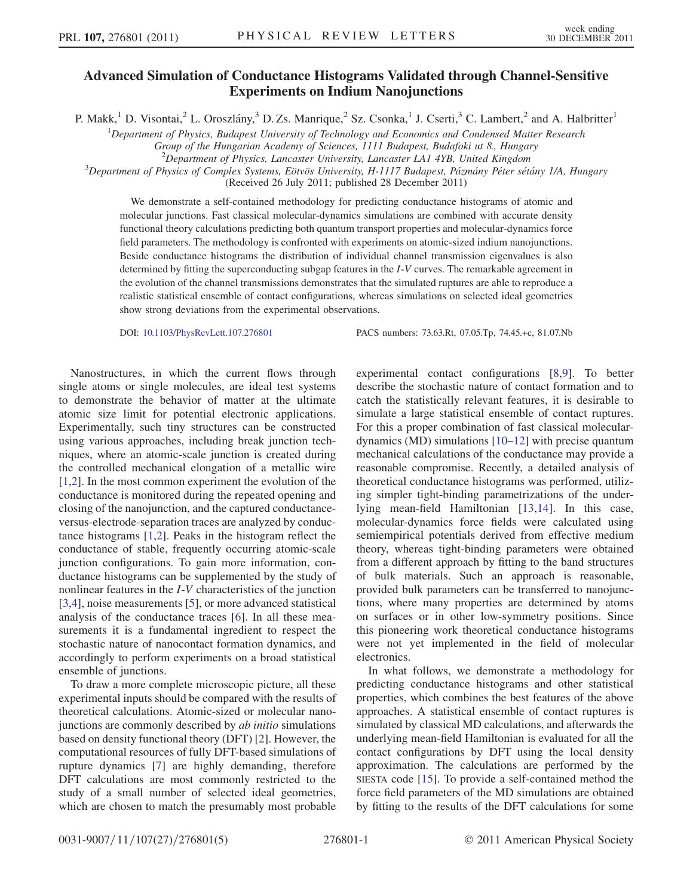## Advanced Simulation of Conductance Histograms Validated through Channel-Sensitive Experiments on Indium Nanojunctions

P. Makk,<sup>1</sup> D. Visontai,<sup>2</sup> L. Oroszlány,<sup>3</sup> D. Zs. Manrique,<sup>2</sup> Sz. Csonka,<sup>1</sup> J. Cserti,<sup>3</sup> C. Lambert,<sup>2</sup> and A. Halbritter<sup>1</sup>

<sup>1</sup>Department of Physics, Budapest University of Technology and Economics and Condensed Matter Research

Group of the Hungarian Academy of Sciences, 1111 Budapest, Budafoki ut 8., Hungary

<sup>2</sup> Department of Physics, Lancaster University, Lancaster LA1 4YB, United Kingdom<br><sup>3</sup> Department of Physics of Complex Systems, Egiptos University, H 1117 Budgpest, Pázmány Páter sét

 $3$ Department of Physics of Complex Systems, Eötvös University, H-1117 Budapest, Pázmány Péter sétány 1/A, Hungary (Received 26 July 2011; published 28 December 2011)

We demonstrate a self-contained methodology for predicting conductance histograms of atomic and molecular junctions. Fast classical molecular-dynamics simulations are combined with accurate density functional theory calculations predicting both quantum transport properties and molecular-dynamics force field parameters. The methodology is confronted with experiments on atomic-sized indium nanojunctions. Beside conductance histograms the distribution of individual channel transmission eigenvalues is also determined by fitting the superconducting subgap features in the I-V curves. The remarkable agreement in the evolution of the channel transmissions demonstrates that the simulated ruptures are able to reproduce a realistic statistical ensemble of contact configurations, whereas simulations on selected ideal geometries show strong deviations from the experimental observations.

DOI: [10.1103/PhysRevLett.107.276801](http://dx.doi.org/10.1103/PhysRevLett.107.276801) PACS numbers: 73.63.Rt, 07.05.Tp, 74.45.+c, 81.07.Nb

Nanostructures, in which the current flows through single atoms or single molecules, are ideal test systems to demonstrate the behavior of matter at the ultimate atomic size limit for potential electronic applications. Experimentally, such tiny structures can be constructed using various approaches, including break junction techniques, where an atomic-scale junction is created during the controlled mechanical elongation of a metallic wire [\[1,](#page-4-0)[2](#page-4-1)]. In the most common experiment the evolution of the conductance is monitored during the repeated opening and closing of the nanojunction, and the captured conductanceversus-electrode-separation traces are analyzed by conductance histograms [[1](#page-4-0)[,2\]](#page-4-1). Peaks in the histogram reflect the conductance of stable, frequently occurring atomic-scale junction configurations. To gain more information, conductance histograms can be supplemented by the study of nonlinear features in the I-V characteristics of the junction [\[3,](#page-4-2)[4](#page-4-3)], noise measurements [\[5](#page-4-4)], or more advanced statistical analysis of the conductance traces [[6](#page-4-5)]. In all these measurements it is a fundamental ingredient to respect the stochastic nature of nanocontact formation dynamics, and accordingly to perform experiments on a broad statistical ensemble of junctions.

To draw a more complete microscopic picture, all these experimental inputs should be compared with the results of theoretical calculations. Atomic-sized or molecular nanojunctions are commonly described by ab initio simulations based on density functional theory (DFT) [[2\]](#page-4-1). However, the computational resources of fully DFT-based simulations of rupture dynamics [[7\]](#page-4-6) are highly demanding, therefore DFT calculations are most commonly restricted to the study of a small number of selected ideal geometries, which are chosen to match the presumably most probable

experimental contact configurations [\[8](#page-4-7),[9](#page-4-8)]. To better describe the stochastic nature of contact formation and to catch the statistically relevant features, it is desirable to simulate a large statistical ensemble of contact ruptures. For this a proper combination of fast classical moleculardynamics (MD) simulations [\[10](#page-4-9)–[12](#page-4-10)] with precise quantum mechanical calculations of the conductance may provide a reasonable compromise. Recently, a detailed analysis of theoretical conductance histograms was performed, utilizing simpler tight-binding parametrizations of the underlying mean-field Hamiltonian [[13](#page-4-11),[14](#page-4-12)]. In this case, molecular-dynamics force fields were calculated using semiempirical potentials derived from effective medium theory, whereas tight-binding parameters were obtained from a different approach by fitting to the band structures of bulk materials. Such an approach is reasonable, provided bulk parameters can be transferred to nanojunctions, where many properties are determined by atoms on surfaces or in other low-symmetry positions. Since this pioneering work theoretical conductance histograms were not yet implemented in the field of molecular electronics.

In what follows, we demonstrate a methodology for predicting conductance histograms and other statistical properties, which combines the best features of the above approaches. A statistical ensemble of contact ruptures is simulated by classical MD calculations, and afterwards the underlying mean-field Hamiltonian is evaluated for all the contact configurations by DFT using the local density approximation. The calculations are performed by the SIESTA code [\[15\]](#page-4-13). To provide a self-contained method the force field parameters of the MD simulations are obtained by fitting to the results of the DFT calculations for some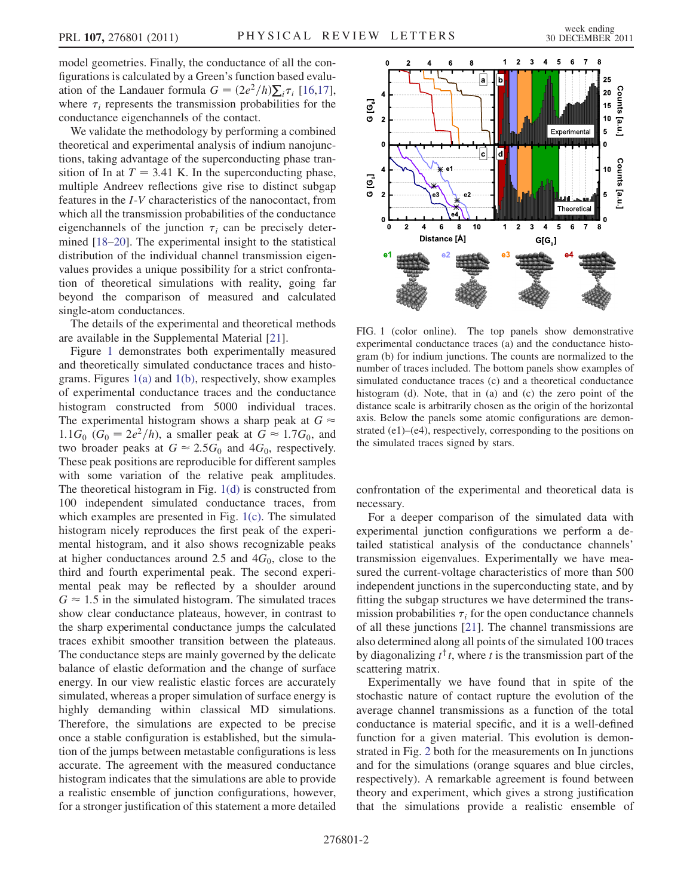model geometries. Finally, the conductance of all the configurations is calculated by a Green's function based evaluation of the Landauer formula  $G = (2e^2/h)\sum_i \tau_i$  [\[16](#page-4-14)[,17\]](#page-4-15), where  $\tau_i$  represents the transmission probabilities for the conductance eigenchannels of the contact.

We validate the methodology by performing a combined theoretical and experimental analysis of indium nanojunctions, taking advantage of the superconducting phase transition of In at  $T = 3.41$  K. In the superconducting phase, multiple Andreev reflections give rise to distinct subgap features in the I-V characteristics of the nanocontact, from which all the transmission probabilities of the conductance eigenchannels of the junction  $\tau_i$  can be precisely determined [[18](#page-4-16)–[20](#page-4-17)]. The experimental insight to the statistical distribution of the individual channel transmission eigenvalues provides a unique possibility for a strict confrontation of theoretical simulations with reality, going far beyond the comparison of measured and calculated single-atom conductances.

The details of the experimental and theoretical methods are available in the Supplemental Material [\[21\]](#page-4-18).

Figure [1](#page-1-0) demonstrates both experimentally measured and theoretically simulated conductance traces and histograms. Figures [1\(a\)](#page-1-1) and [1\(b\)](#page-1-1), respectively, show examples of experimental conductance traces and the conductance histogram constructed from 5000 individual traces. The experimental histogram shows a sharp peak at  $G \approx$ 1.1 $G_0$  ( $G_0 = 2e^2/h$ ), a smaller peak at  $G \approx 1.7G_0$ , and two broader peaks at  $G \approx 2.5G_0$  and  $4G_0$ , respectively. These peak positions are reproducible for different samples with some variation of the relative peak amplitudes. The theoretical histogram in Fig. [1\(d\)](#page-1-1) is constructed from 100 independent simulated conductance traces, from which examples are presented in Fig. [1\(c\).](#page-1-1) The simulated histogram nicely reproduces the first peak of the experimental histogram, and it also shows recognizable peaks at higher conductances around 2.5 and  $4G_0$ , close to the third and fourth experimental peak. The second experimental peak may be reflected by a shoulder around  $G \approx 1.5$  in the simulated histogram. The simulated traces show clear conductance plateaus, however, in contrast to the sharp experimental conductance jumps the calculated traces exhibit smoother transition between the plateaus. The conductance steps are mainly governed by the delicate balance of elastic deformation and the change of surface energy. In our view realistic elastic forces are accurately simulated, whereas a proper simulation of surface energy is highly demanding within classical MD simulations. Therefore, the simulations are expected to be precise once a stable configuration is established, but the simulation of the jumps between metastable configurations is less accurate. The agreement with the measured conductance histogram indicates that the simulations are able to provide a realistic ensemble of junction configurations, however, for a stronger justification of this statement a more detailed

<span id="page-1-0"></span>

<span id="page-1-1"></span>FIG. 1 (color online). The top panels show demonstrative experimental conductance traces (a) and the conductance histogram (b) for indium junctions. The counts are normalized to the number of traces included. The bottom panels show examples of simulated conductance traces (c) and a theoretical conductance histogram (d). Note, that in (a) and (c) the zero point of the distance scale is arbitrarily chosen as the origin of the horizontal axis. Below the panels some atomic configurations are demonstrated (e1)–(e4), respectively, corresponding to the positions on the simulated traces signed by stars.

confrontation of the experimental and theoretical data is necessary.

For a deeper comparison of the simulated data with experimental junction configurations we perform a detailed statistical analysis of the conductance channels' transmission eigenvalues. Experimentally we have measured the current-voltage characteristics of more than 500 independent junctions in the superconducting state, and by fitting the subgap structures we have determined the transmission probabilities  $\tau_i$  for the open conductance channels of all these junctions [\[21\]](#page-4-18). The channel transmissions are also determined along all points of the simulated 100 traces by diagonalizing  $t^{\dagger} t$ , where t is the transmission part of the scattering matrix.

Experimentally we have found that in spite of the stochastic nature of contact rupture the evolution of the average channel transmissions as a function of the total conductance is material specific, and it is a well-defined function for a given material. This evolution is demonstrated in Fig. [2](#page-2-0) both for the measurements on In junctions and for the simulations (orange squares and blue circles, respectively). A remarkable agreement is found between theory and experiment, which gives a strong justification that the simulations provide a realistic ensemble of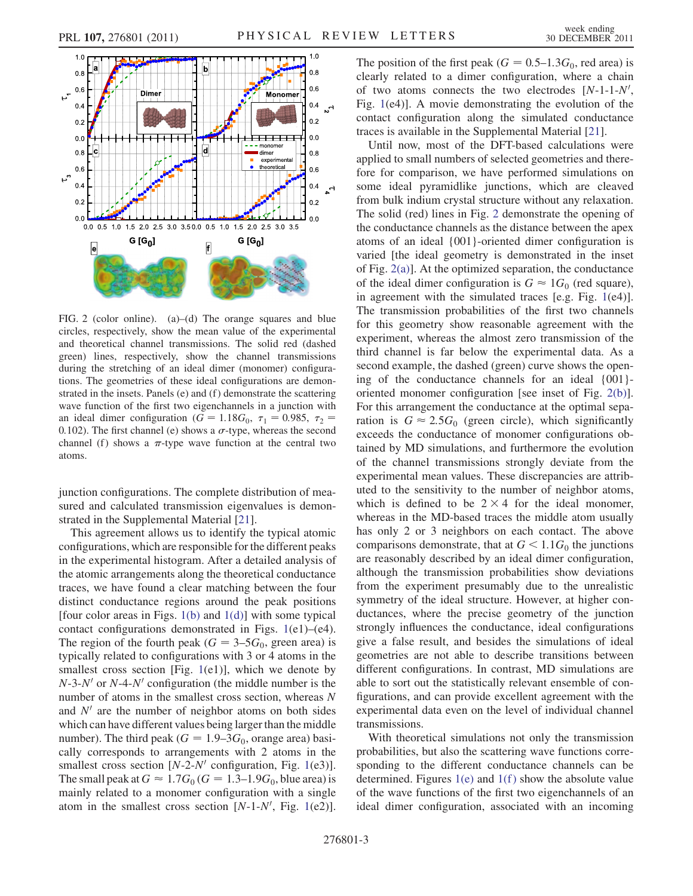

<span id="page-2-0"></span>

<span id="page-2-1"></span>FIG. 2 (color online). (a)–(d) The orange squares and blue circles, respectively, show the mean value of the experimental and theoretical channel transmissions. The solid red (dashed green) lines, respectively, show the channel transmissions during the stretching of an ideal dimer (monomer) configurations. The geometries of these ideal configurations are demonstrated in the insets. Panels (e) and (f ) demonstrate the scattering wave function of the first two eigenchannels in a junction with an ideal dimer configuration ( $G = 1.18G_0$ ,  $\tau_1 = 0.985$ ,  $\tau_2 =$ 0.102). The first channel (e) shows a  $\sigma$ -type, whereas the second channel (f) shows a  $\pi$ -type wave function at the central two atoms.

junction configurations. The complete distribution of measured and calculated transmission eigenvalues is demonstrated in the Supplemental Material [[21](#page-4-18)].

This agreement allows us to identify the typical atomic configurations, which are responsible for the different peaks in the experimental histogram. After a detailed analysis of the atomic arrangements along the theoretical conductance traces, we have found a clear matching between the four distinct conductance regions around the peak positions [four color areas in Figs.  $1(b)$  and  $1(d)$ ] with some typical contact configurations demonstrated in Figs. [1](#page-1-0)(e1)–(e4). The region of the fourth peak ( $G = 3-5G_0$ , green area) is typically related to configurations with 3 or 4 atoms in the smallest cross section [Fig. [1](#page-1-0)(e1)], which we denote by  $N-3-N'$  or  $N-4-N'$  configuration (the middle number is the number of atoms in the smallest cross section, whereas N and  $N'$  are the number of neighbor atoms on both sides which can have different values being larger than the middle number). The third peak ( $G = 1.9-3G_0$ , orange area) basically corresponds to arrangements with 2 atoms in the smallest cross section  $[N-2-N'$  configuration, Fig. [1](#page-1-0)(e3)]. The small peak at  $G \approx 1.7G_0$  ( $G = 1.3-1.9G_0$ , blue area) is mainly related to a monomer configuration with a single atom in the smallest cross section  $[N-1-N']$  $[N-1-N']$  $[N-1-N']$ , Fig. 1(e2). The position of the first peak ( $G = 0.5-1.3G_0$ , red area) is clearly related to a dimer configuration, where a chain of two atoms connects the two electrodes  $[N-1-1-N']$ , Fig. [1\(](#page-1-0)e4)]. A movie demonstrating the evolution of the contact configuration along the simulated conductance traces is available in the Supplemental Material [\[21\]](#page-4-18).

Until now, most of the DFT-based calculations were applied to small numbers of selected geometries and therefore for comparison, we have performed simulations on some ideal pyramidlike junctions, which are cleaved from bulk indium crystal structure without any relaxation. The solid (red) lines in Fig. [2](#page-2-0) demonstrate the opening of the conductance channels as the distance between the apex atoms of an ideal {001}-oriented dimer configuration is varied [the ideal geometry is demonstrated in the inset of Fig. [2\(a\)](#page-2-1)]. At the optimized separation, the conductance of the ideal dimer configuration is  $G \approx 1G_0$  (red square), in agreement with the simulated traces [e.g. Fig. [1](#page-1-0)(e4)]. The transmission probabilities of the first two channels for this geometry show reasonable agreement with the experiment, whereas the almost zero transmission of the third channel is far below the experimental data. As a second example, the dashed (green) curve shows the opening of the conductance channels for an ideal {001} oriented monomer configuration [see inset of Fig. [2\(b\)\]](#page-2-1). For this arrangement the conductance at the optimal separation is  $G \approx 2.5G_0$  (green circle), which significantly exceeds the conductance of monomer configurations obtained by MD simulations, and furthermore the evolution of the channel transmissions strongly deviate from the experimental mean values. These discrepancies are attributed to the sensitivity to the number of neighbor atoms, which is defined to be  $2 \times 4$  for the ideal monomer, whereas in the MD-based traces the middle atom usually has only 2 or 3 neighbors on each contact. The above comparisons demonstrate, that at  $G \leq 1.1G_0$  the junctions are reasonably described by an ideal dimer configuration, although the transmission probabilities show deviations from the experiment presumably due to the unrealistic symmetry of the ideal structure. However, at higher conductances, where the precise geometry of the junction strongly influences the conductance, ideal configurations give a false result, and besides the simulations of ideal geometries are not able to describe transitions between different configurations. In contrast, MD simulations are able to sort out the statistically relevant ensemble of configurations, and can provide excellent agreement with the experimental data even on the level of individual channel transmissions.

With theoretical simulations not only the transmission probabilities, but also the scattering wave functions corresponding to the different conductance channels can be determined. Figures  $1(e)$  and  $1(f)$  show the absolute value of the wave functions of the first two eigenchannels of an ideal dimer configuration, associated with an incoming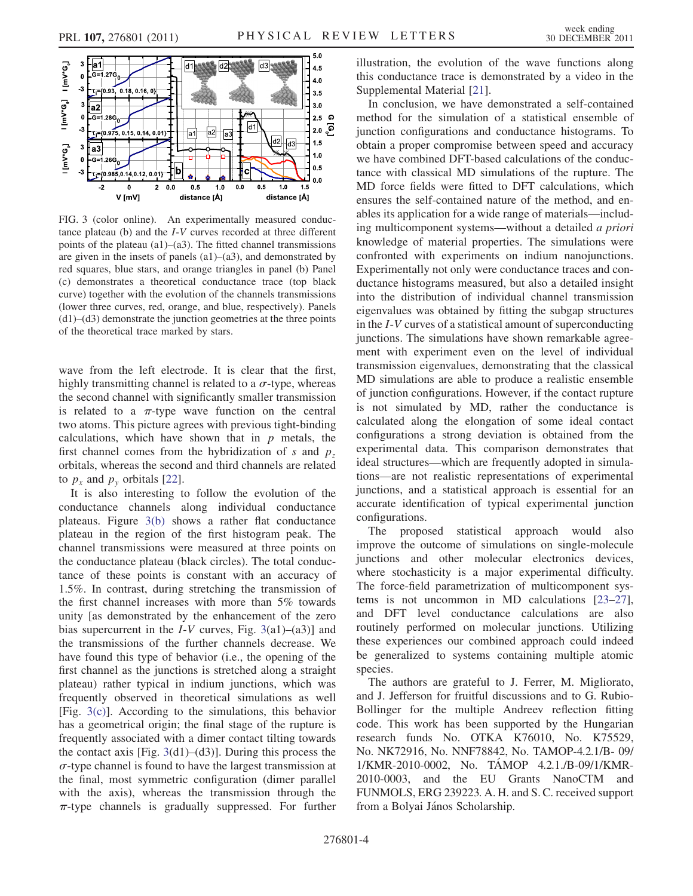<span id="page-3-1"></span>

<span id="page-3-0"></span>FIG. 3 (color online). An experimentally measured conductance plateau (b) and the I-V curves recorded at three different points of the plateau  $(a1)$ – $(a3)$ . The fitted channel transmissions are given in the insets of panels  $(a1)$ – $(a3)$ , and demonstrated by red squares, blue stars, and orange triangles in panel (b) Panel (c) demonstrates a theoretical conductance trace (top black curve) together with the evolution of the channels transmissions (lower three curves, red, orange, and blue, respectively). Panels  $(d1)$ – $(d3)$  demonstrate the junction geometries at the three points of the theoretical trace marked by stars.

wave from the left electrode. It is clear that the first, highly transmitting channel is related to a  $\sigma$ -type, whereas the second channel with significantly smaller transmission is related to a  $\pi$ -type wave function on the central two atoms. This picture agrees with previous tight-binding calculations, which have shown that in  $p$  metals, the first channel comes from the hybridization of s and  $p<sub>z</sub>$ orbitals, whereas the second and third channels are related to  $p_x$  and  $p_y$  orbitals [[22](#page-4-19)].

It is also interesting to follow the evolution of the conductance channels along individual conductance plateaus. Figure [3\(b\)](#page-3-0) shows a rather flat conductance plateau in the region of the first histogram peak. The channel transmissions were measured at three points on the conductance plateau (black circles). The total conductance of these points is constant with an accuracy of 1.5%. In contrast, during stretching the transmission of the first channel increases with more than 5% towards unity [as demonstrated by the enhancement of the zero bias supercurrent in the  $I-V$  curves, Fig. [3\(](#page-3-1)a1)–(a3)] and the transmissions of the further channels decrease. We have found this type of behavior (i.e., the opening of the first channel as the junctions is stretched along a straight plateau) rather typical in indium junctions, which was frequently observed in theoretical simulations as well [Fig. [3\(c\)\]](#page-3-0). According to the simulations, this behavior has a geometrical origin; the final stage of the rupture is frequently associated with a dimer contact tilting towards the contact axis [Fig.  $3(d1)$  $3(d1)$ – $(d3)$ ]. During this process the  $\sigma$ -type channel is found to have the largest transmission at the final, most symmetric configuration (dimer parallel with the axis), whereas the transmission through the  $\pi$ -type channels is gradually suppressed. For further illustration, the evolution of the wave functions along this conductance trace is demonstrated by a video in the Supplemental Material [[21](#page-4-18)].

In conclusion, we have demonstrated a self-contained method for the simulation of a statistical ensemble of junction configurations and conductance histograms. To obtain a proper compromise between speed and accuracy we have combined DFT-based calculations of the conductance with classical MD simulations of the rupture. The MD force fields were fitted to DFT calculations, which ensures the self-contained nature of the method, and enables its application for a wide range of materials—including multicomponent systems—without a detailed a priori knowledge of material properties. The simulations were confronted with experiments on indium nanojunctions. Experimentally not only were conductance traces and conductance histograms measured, but also a detailed insight into the distribution of individual channel transmission eigenvalues was obtained by fitting the subgap structures in the I-V curves of a statistical amount of superconducting junctions. The simulations have shown remarkable agreement with experiment even on the level of individual transmission eigenvalues, demonstrating that the classical MD simulations are able to produce a realistic ensemble of junction configurations. However, if the contact rupture is not simulated by MD, rather the conductance is calculated along the elongation of some ideal contact configurations a strong deviation is obtained from the experimental data. This comparison demonstrates that ideal structures—which are frequently adopted in simulations—are not realistic representations of experimental junctions, and a statistical approach is essential for an accurate identification of typical experimental junction configurations.

The proposed statistical approach would also improve the outcome of simulations on single-molecule junctions and other molecular electronics devices, where stochasticity is a major experimental difficulty. The force-field parametrization of multicomponent systems is not uncommon in MD calculations [[23](#page-4-20)–[27\]](#page-4-21), and DFT level conductance calculations are also routinely performed on molecular junctions. Utilizing these experiences our combined approach could indeed be generalized to systems containing multiple atomic species.

The authors are grateful to J. Ferrer, M. Migliorato, and J. Jefferson for fruitful discussions and to G. Rubio-Bollinger for the multiple Andreev reflection fitting code. This work has been supported by the Hungarian research funds No. OTKA K76010, No. K75529, No. NK72916, No. NNF78842, No. TAMOP-4.2.1/B- 09/ 1/KMR-2010-0002, No. TÁMOP 4.2.1./B-09/1/KMR-2010-0003, and the EU Grants NanoCTM and FUNMOLS, ERG 239223. A. H. and S. C. received support from a Bolyai János Scholarship.